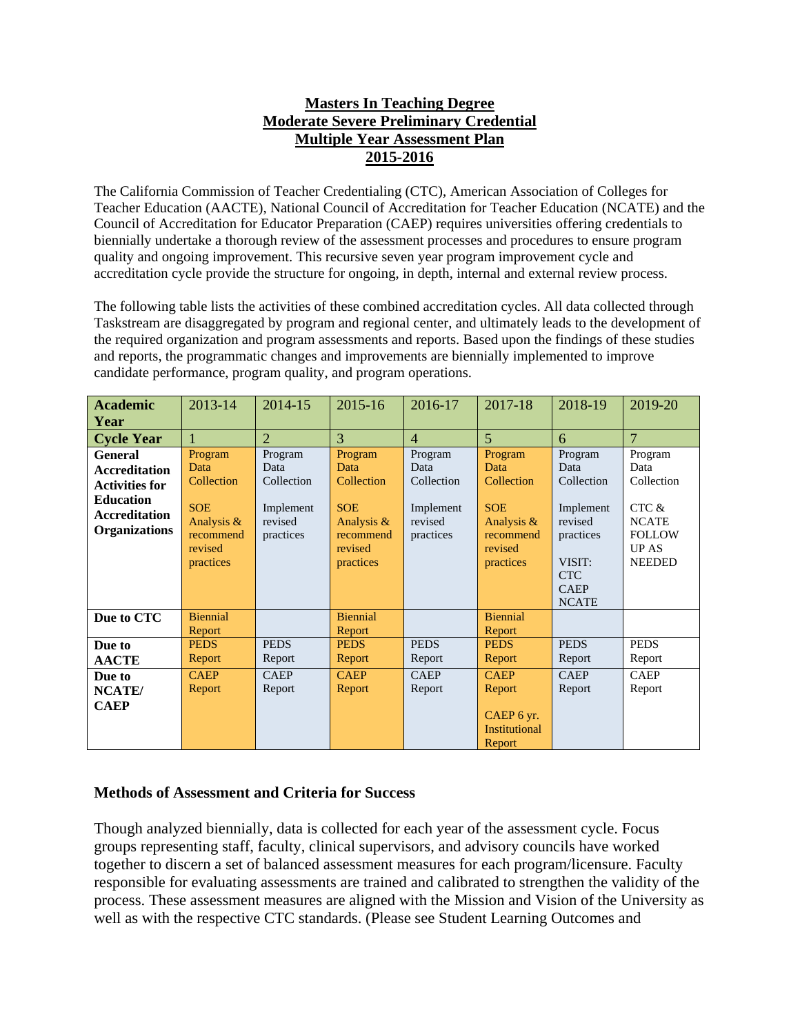## **Masters In Teaching Degree Moderate Severe Preliminary Credential Multiple Year Assessment Plan 2015-2016**

The California Commission of Teacher Credentialing (CTC), American Association of Colleges for Teacher Education (AACTE), National Council of Accreditation for Teacher Education (NCATE) and the Council of Accreditation for Educator Preparation (CAEP) requires universities offering credentials to biennially undertake a thorough review of the assessment processes and procedures to ensure program quality and ongoing improvement. This recursive seven year program improvement cycle and accreditation cycle provide the structure for ongoing, in depth, internal and external review process.

The following table lists the activities of these combined accreditation cycles. All data collected through Taskstream are disaggregated by program and regional center, and ultimately leads to the development of the required organization and program assessments and reports. Based upon the findings of these studies and reports, the programmatic changes and improvements are biennially implemented to improve candidate performance, program quality, and program operations.

| <b>Academic</b>       | 2013-14               | 2014-15              | 2015-16                   | 2016-17              | 2017-18               | 2018-19              | 2019-20        |
|-----------------------|-----------------------|----------------------|---------------------------|----------------------|-----------------------|----------------------|----------------|
| Year                  |                       |                      |                           |                      |                       |                      |                |
| <b>Cycle Year</b>     |                       | $\overline{2}$       | $\overline{3}$            | $\overline{4}$       | $\overline{5}$        | 6                    | $\overline{7}$ |
| <b>General</b>        | Program               | Program              | Program                   | Program              | Program               | Program              | Program        |
| <b>Accreditation</b>  | Data                  | Data                 | Data                      | Data                 | Data                  | Data                 | Data           |
| <b>Activities for</b> | Collection            | Collection           | Collection                | Collection           | Collection            | Collection           | Collection     |
| <b>Education</b>      | <b>SOE</b>            |                      | <b>SOE</b>                |                      | <b>SOE</b>            |                      | CTC &          |
| <b>Accreditation</b>  | Analysis &            | Implement<br>revised | Analysis $\&$             | Implement<br>revised | Analysis &            | Implement<br>revised | <b>NCATE</b>   |
| <b>Organizations</b>  | recommend             | practices            | recommend                 | practices            | recommend             | practices            | <b>FOLLOW</b>  |
|                       | revised               |                      | revised                   |                      | revised               |                      | <b>UP AS</b>   |
|                       | practices             |                      | practices                 |                      | practices             | VISIT:               | <b>NEEDED</b>  |
|                       |                       |                      |                           |                      |                       | <b>CTC</b>           |                |
|                       |                       |                      |                           |                      |                       | <b>CAEP</b>          |                |
|                       |                       |                      |                           |                      |                       | <b>NCATE</b>         |                |
| Due to CTC            | <b>Biennial</b>       |                      | <b>Biennial</b><br>Report |                      | <b>Biennial</b>       |                      |                |
| Due to                | Report<br><b>PEDS</b> | <b>PEDS</b>          | <b>PEDS</b>               | <b>PEDS</b>          | Report<br><b>PEDS</b> | <b>PEDS</b>          | <b>PEDS</b>    |
| <b>AACTE</b>          | Report                | Report               | Report                    | Report               | Report                | Report               | Report         |
| Due to                | <b>CAEP</b>           | <b>CAEP</b>          | <b>CAEP</b>               | <b>CAEP</b>          | <b>CAEP</b>           | <b>CAEP</b>          | <b>CAEP</b>    |
|                       | Report                | Report               | Report                    | Report               | Report                | Report               | Report         |
| NCATE/<br><b>CAEP</b> |                       |                      |                           |                      |                       |                      |                |
|                       |                       |                      |                           |                      | CAEP 6 yr.            |                      |                |
|                       |                       |                      |                           |                      | <b>Institutional</b>  |                      |                |
|                       |                       |                      |                           |                      | Report                |                      |                |

## **Methods of Assessment and Criteria for Success**

Though analyzed biennially, data is collected for each year of the assessment cycle. Focus groups representing staff, faculty, clinical supervisors, and advisory councils have worked together to discern a set of balanced assessment measures for each program/licensure. Faculty responsible for evaluating assessments are trained and calibrated to strengthen the validity of the process. These assessment measures are aligned with the Mission and Vision of the University as well as with the respective CTC standards. (Please see Student Learning Outcomes and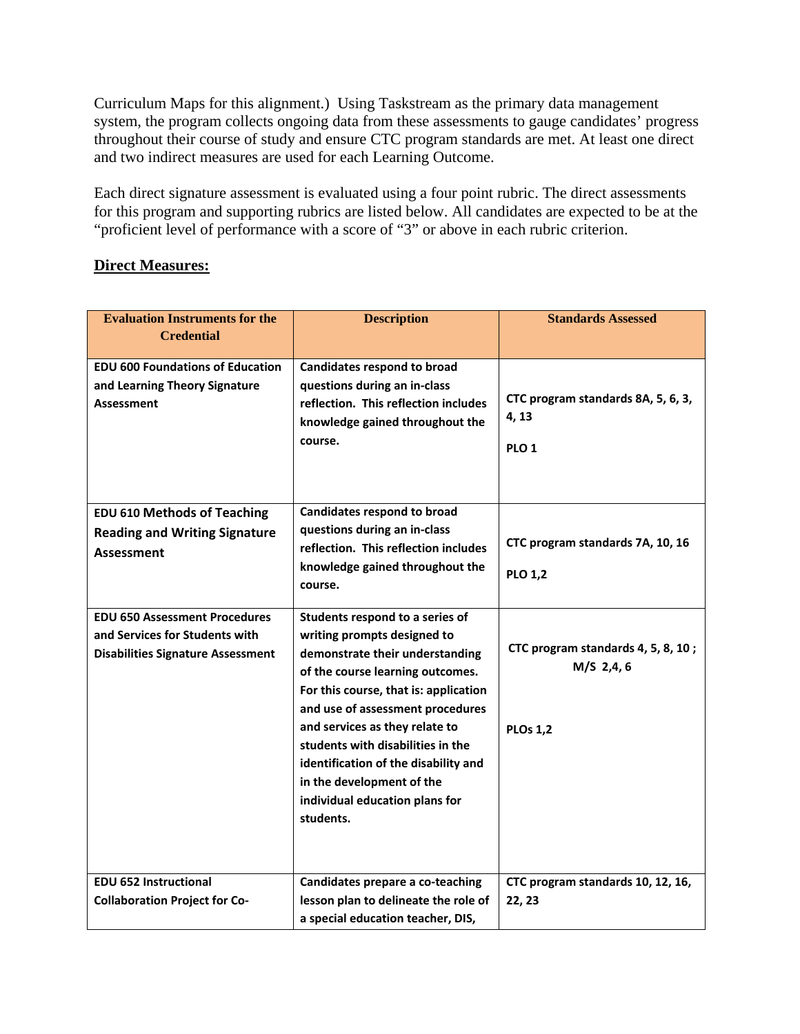Curriculum Maps for this alignment.) Using Taskstream as the primary data management system, the program collects ongoing data from these assessments to gauge candidates' progress throughout their course of study and ensure CTC program standards are met. At least one direct and two indirect measures are used for each Learning Outcome.

Each direct signature assessment is evaluated using a four point rubric. The direct assessments for this program and supporting rubrics are listed below. All candidates are expected to be at the "proficient level of performance with a score of "3" or above in each rubric criterion.

## **Direct Measures:**

| <b>Evaluation Instruments for the</b><br><b>Credential</b>                                                         | <b>Description</b>                                                                                                                                                                                                                                                                                                                                                                                            | <b>Standards Assessed</b>                                          |
|--------------------------------------------------------------------------------------------------------------------|---------------------------------------------------------------------------------------------------------------------------------------------------------------------------------------------------------------------------------------------------------------------------------------------------------------------------------------------------------------------------------------------------------------|--------------------------------------------------------------------|
| <b>EDU 600 Foundations of Education</b><br>and Learning Theory Signature<br><b>Assessment</b>                      | <b>Candidates respond to broad</b><br>questions during an in-class<br>reflection. This reflection includes<br>knowledge gained throughout the<br>course.                                                                                                                                                                                                                                                      | CTC program standards 8A, 5, 6, 3,<br>4, 13<br>PLO <sub>1</sub>    |
| <b>EDU 610 Methods of Teaching</b><br><b>Reading and Writing Signature</b><br>Assessment                           | <b>Candidates respond to broad</b><br>questions during an in-class<br>reflection. This reflection includes<br>knowledge gained throughout the<br>course.                                                                                                                                                                                                                                                      | CTC program standards 7A, 10, 16<br><b>PLO 1,2</b>                 |
| <b>EDU 650 Assessment Procedures</b><br>and Services for Students with<br><b>Disabilities Signature Assessment</b> | Students respond to a series of<br>writing prompts designed to<br>demonstrate their understanding<br>of the course learning outcomes.<br>For this course, that is: application<br>and use of assessment procedures<br>and services as they relate to<br>students with disabilities in the<br>identification of the disability and<br>in the development of the<br>individual education plans for<br>students. | CTC program standards 4, 5, 8, 10;<br>M/S 2,4,6<br><b>PLOs 1,2</b> |
| <b>EDU 652 Instructional</b><br><b>Collaboration Project for Co-</b>                                               | Candidates prepare a co-teaching<br>lesson plan to delineate the role of<br>a special education teacher, DIS,                                                                                                                                                                                                                                                                                                 | CTC program standards 10, 12, 16,<br>22, 23                        |